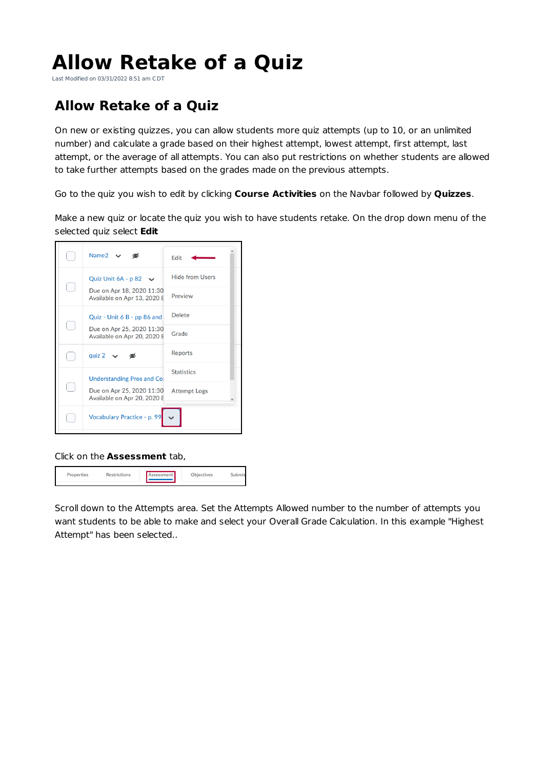## **Allow Retake of a Quiz**

Last Modified on 03/31/2022 8:51 am CDT

## **Allow Retake of a Quiz**

On new or existing quizzes, you can allow students more quiz attempts (up to 10, or an unlimited number) and calculate a grade based on their highest attempt, lowest attempt, first attempt, last attempt, or the average of all attempts. You can also put restrictions on whether students are allowed to take further attempts based on the grades made on the previous attempts.

Go to the quiz you wish to edit by clicking **Course Activities** on the Navbar followed by **Quizzes**.

Make a new quiz or locate the quiz you wish to have students retake. On the drop down menu of the selected quiz select **Edit**



Click on the **Assessment** tab,



Scroll down to the Attempts area. Set the Attempts Allowed number to the number of attempts you want students to be able to make and select your Overall Grade Calculation. In this example "Highest Attempt" has been selected..